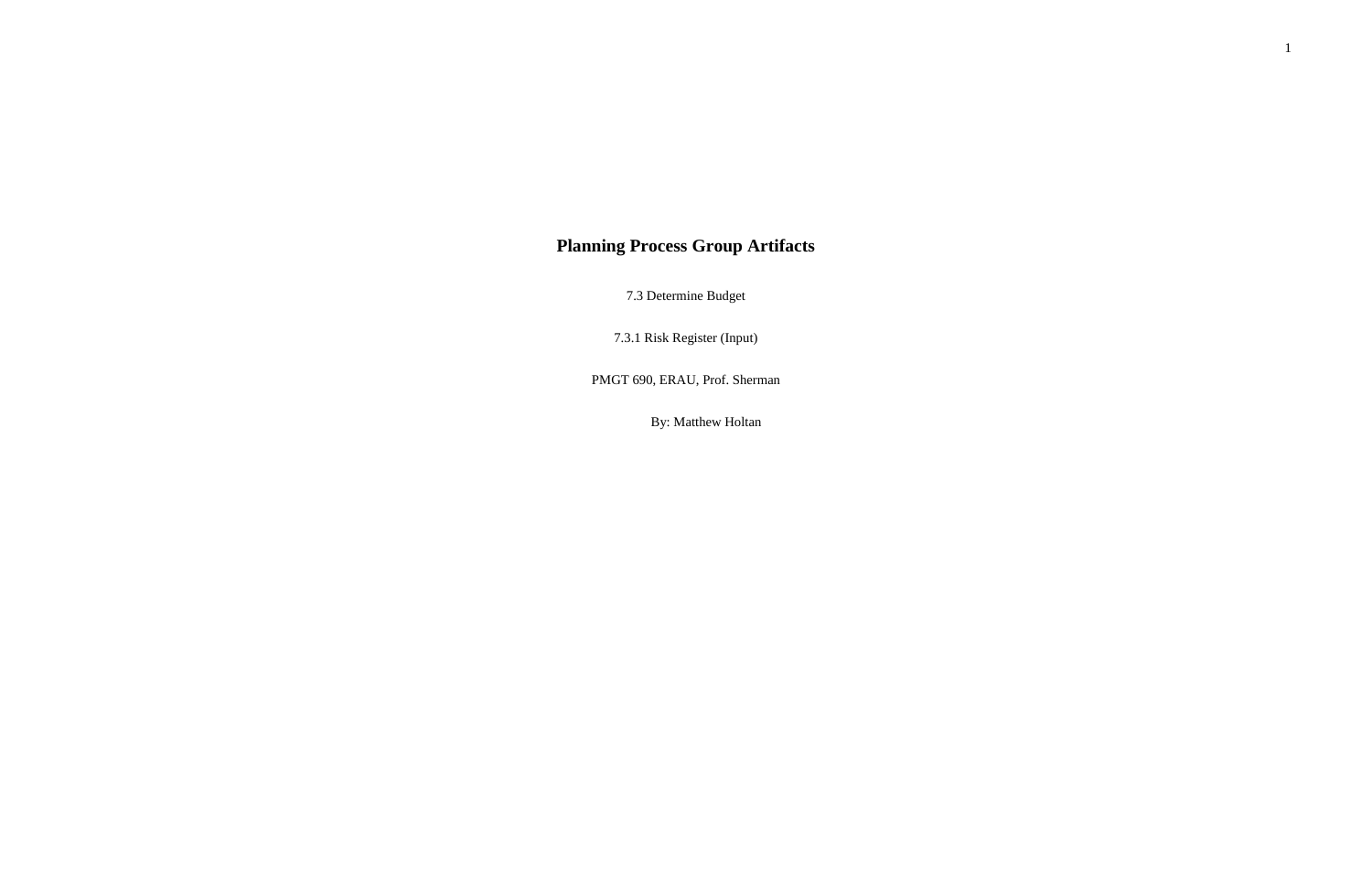1

# **Planning Process Group Artifacts**

7.3 Determine Budget

7.3.1 Risk Register (Input)

PMGT 690, ERAU, Prof. Sherman

By: Matthew Holtan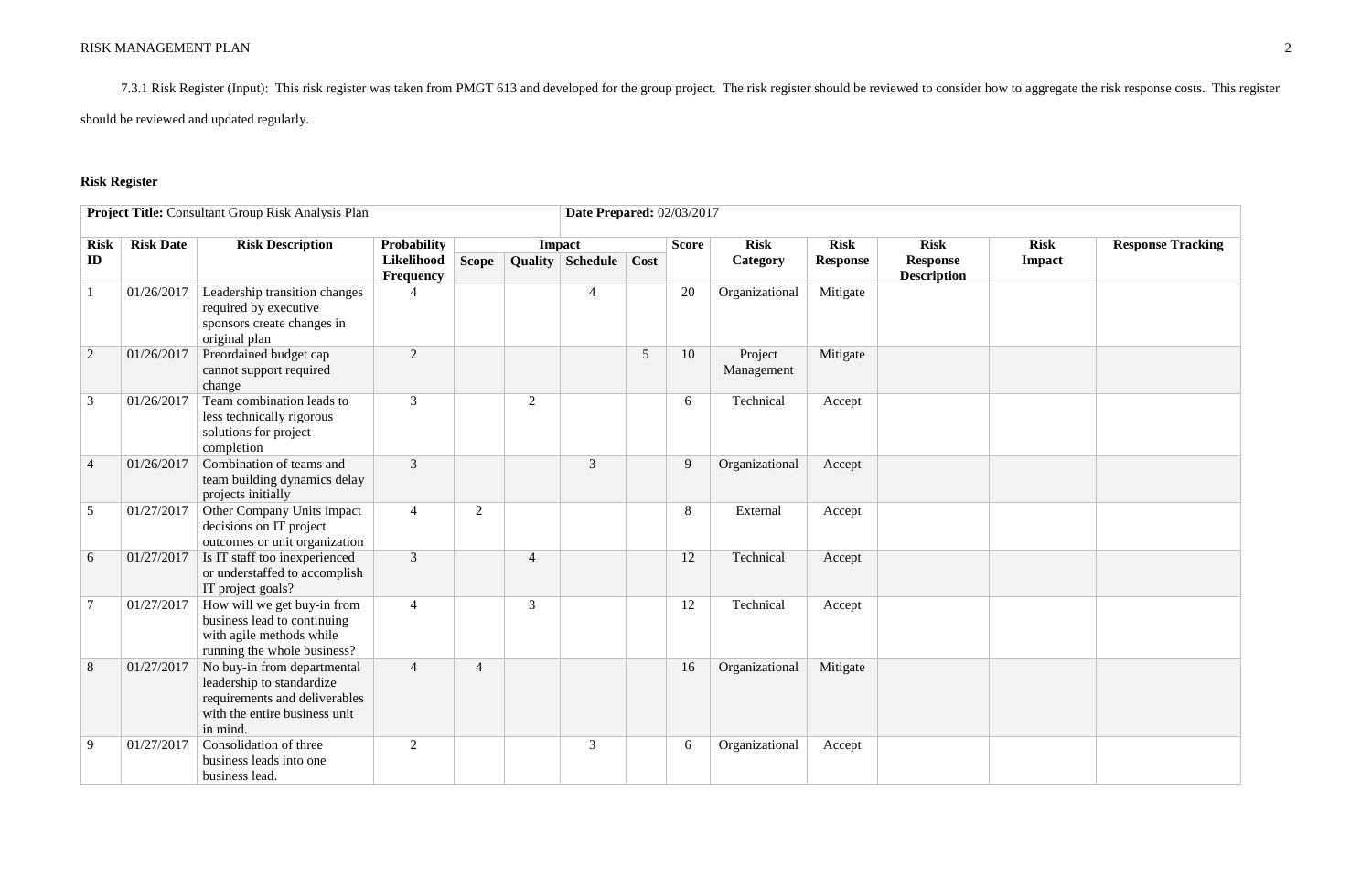### RISK MANAGEMENT PLAN 2

7.3.1 Risk Register (Input): This risk register was taken from PMGT 613 and developed for the group project. The risk register should be reviewed to consider how to aggregate the risk response costs. This register should be reviewed and updated regularly.

# **Risk Register**

|                   | Project Title: Consultant Group Risk Analysis Plan<br><b>Date Prepared: 02/03/2017</b> |                                                                                                                                        |                                                                                              |                |                |                |                |                                         |                                |                                |                              |                          |  |
|-------------------|----------------------------------------------------------------------------------------|----------------------------------------------------------------------------------------------------------------------------------------|----------------------------------------------------------------------------------------------|----------------|----------------|----------------|----------------|-----------------------------------------|--------------------------------|--------------------------------|------------------------------|--------------------------|--|
| <b>Risk</b><br>ID | <b>Risk Date</b>                                                                       | <b>Risk Description</b>                                                                                                                | <b>Probability</b><br><b>Impact</b><br><b>Quality</b> Schedule<br>Likelihood<br><b>Scope</b> |                |                | Cost           |                | <b>Risk</b><br><b>Score</b><br>Category | <b>Risk</b><br><b>Response</b> | <b>Risk</b><br><b>Response</b> | <b>Risk</b><br><b>Impact</b> | <b>Response Tracking</b> |  |
|                   |                                                                                        |                                                                                                                                        | <b>Frequency</b>                                                                             |                |                |                |                |                                         |                                |                                | <b>Description</b>           |                          |  |
|                   | 01/26/2017                                                                             | Leadership transition changes<br>required by executive<br>sponsors create changes in<br>original plan                                  |                                                                                              |                |                | $\overline{4}$ |                | 20                                      | Organizational                 | Mitigate                       |                              |                          |  |
| 2                 | 01/26/2017                                                                             | Preordained budget cap<br>cannot support required<br>change                                                                            | $\overline{2}$                                                                               |                |                |                | $\overline{5}$ | 10                                      | Project<br>Management          | Mitigate                       |                              |                          |  |
| 3                 | 01/26/2017                                                                             | Team combination leads to<br>less technically rigorous<br>solutions for project<br>completion                                          | $\overline{3}$                                                                               |                | 2              |                |                | 6                                       | Technical                      | Accept                         |                              |                          |  |
| $\overline{4}$    | 01/26/2017                                                                             | Combination of teams and<br>team building dynamics delay<br>projects initially                                                         | 3                                                                                            |                |                | 3              |                | 9                                       | Organizational                 | Accept                         |                              |                          |  |
| $\overline{5}$    | 01/27/2017                                                                             | Other Company Units impact<br>decisions on IT project<br>outcomes or unit organization                                                 | $\overline{4}$                                                                               | $\overline{2}$ |                |                |                | 8                                       | External                       | Accept                         |                              |                          |  |
| 6                 | 01/27/2017                                                                             | Is IT staff too inexperienced<br>or understaffed to accomplish<br>IT project goals?                                                    | $\overline{3}$                                                                               |                | $\overline{4}$ |                |                | 12                                      | Technical                      | Accept                         |                              |                          |  |
| $\overline{7}$    | 01/27/2017                                                                             | How will we get buy-in from<br>business lead to continuing<br>with agile methods while<br>running the whole business?                  | $\overline{4}$                                                                               |                | $\overline{3}$ |                |                | 12                                      | Technical                      | Accept                         |                              |                          |  |
| 8                 | 01/27/2017                                                                             | No buy-in from departmental<br>leadership to standardize<br>requirements and deliverables<br>with the entire business unit<br>in mind. | $\overline{4}$                                                                               | $\overline{4}$ |                |                |                | 16                                      | Organizational                 | Mitigate                       |                              |                          |  |
| 9                 | 01/27/2017                                                                             | Consolidation of three<br>business leads into one<br>business lead.                                                                    | $\overline{2}$                                                                               |                |                | $\overline{3}$ |                | 6                                       | Organizational                 | Accept                         |                              |                          |  |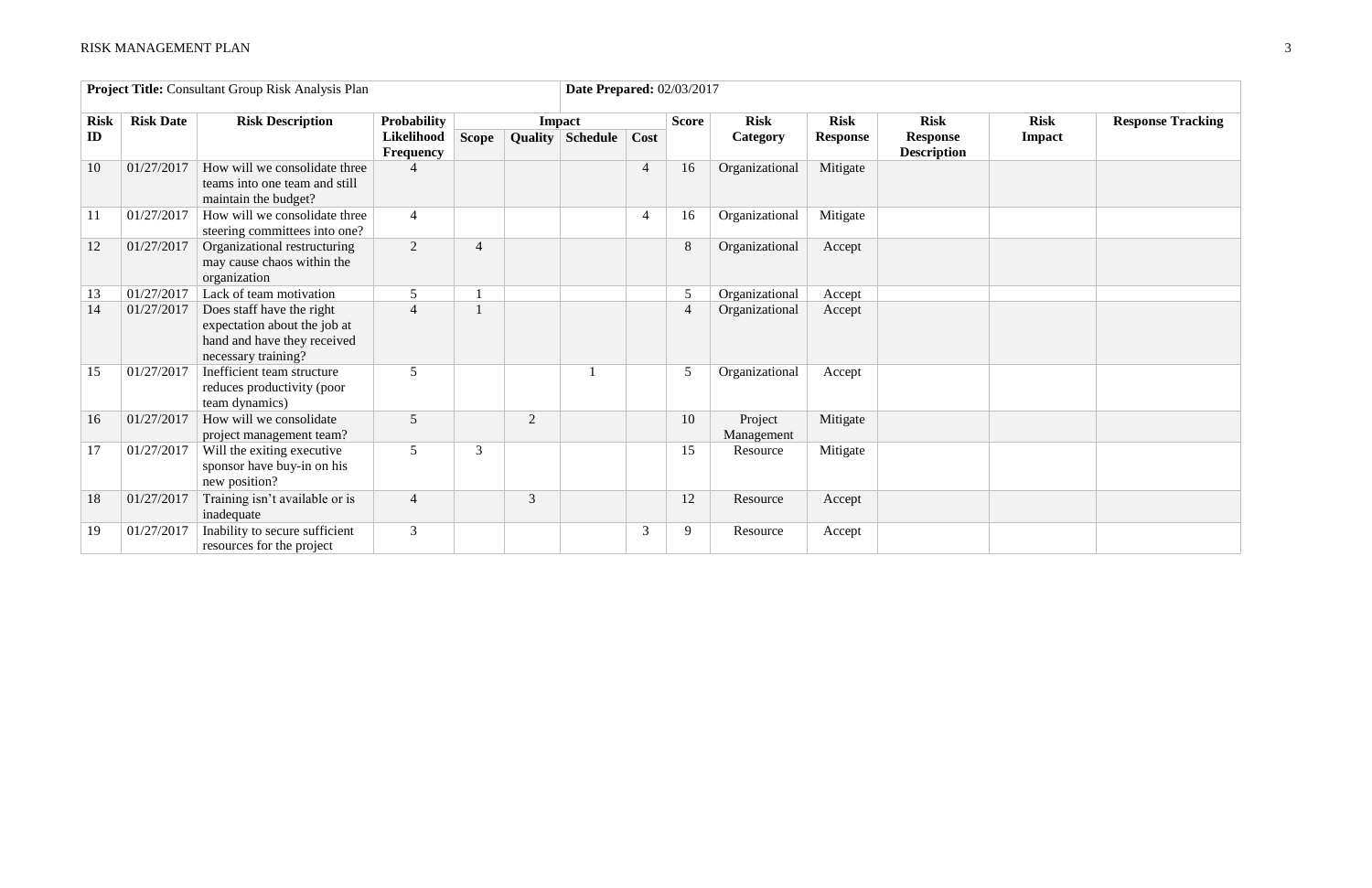|             | Project Title: Consultant Group Risk Analysis Plan<br><b>Date Prepared: 02/03/2017</b> |                                                                                                                 |                                |                |         |                 |                |                |                       |                 |                                       |                          |  |
|-------------|----------------------------------------------------------------------------------------|-----------------------------------------------------------------------------------------------------------------|--------------------------------|----------------|---------|-----------------|----------------|----------------|-----------------------|-----------------|---------------------------------------|--------------------------|--|
| <b>Risk</b> | <b>Risk Date</b>                                                                       | <b>Risk Description</b>                                                                                         | Probability<br><b>Impact</b>   |                |         |                 | <b>Score</b>   | <b>Risk</b>    | <b>Risk</b>           | <b>Risk</b>     | <b>Risk</b>                           | <b>Response Tracking</b> |  |
| ID          |                                                                                        |                                                                                                                 | Likelihood<br><b>Frequency</b> | <b>Scope</b>   | Quality | <b>Schedule</b> | Cost           |                | Category              | <b>Response</b> | <b>Response</b><br><b>Description</b> | <b>Impact</b>            |  |
| 10          | 01/27/2017                                                                             | How will we consolidate three<br>teams into one team and still<br>maintain the budget?                          | 4                              |                |         |                 | $\overline{4}$ | 16             | Organizational        | Mitigate        |                                       |                          |  |
| 11          | 01/27/2017                                                                             | How will we consolidate three<br>steering committees into one?                                                  | $\overline{4}$                 |                |         |                 | $\overline{4}$ | 16             | Organizational        | Mitigate        |                                       |                          |  |
| 12          | 01/27/2017                                                                             | Organizational restructuring<br>may cause chaos within the<br>organization                                      | $\overline{2}$                 | $\overline{4}$ |         |                 |                | 8              | Organizational        | Accept          |                                       |                          |  |
| 13          | 01/27/2017                                                                             | Lack of team motivation                                                                                         | 5                              |                |         |                 |                | 5              | Organizational        | Accept          |                                       |                          |  |
| 14          | 01/27/2017                                                                             | Does staff have the right<br>expectation about the job at<br>hand and have they received<br>necessary training? | $\overline{4}$                 |                |         |                 |                | $\overline{4}$ | Organizational        | Accept          |                                       |                          |  |
| 15          | 01/27/2017                                                                             | Inefficient team structure<br>reduces productivity (poor<br>team dynamics)                                      | 5                              |                |         |                 |                | 5              | Organizational        | Accept          |                                       |                          |  |
| 16          | 01/27/2017                                                                             | How will we consolidate<br>project management team?                                                             | 5                              |                | 2       |                 |                | 10             | Project<br>Management | Mitigate        |                                       |                          |  |
| 17          | 01/27/2017                                                                             | Will the exiting executive<br>sponsor have buy-in on his<br>new position?                                       | 5                              | 3              |         |                 |                | 15             | Resource              | Mitigate        |                                       |                          |  |
| 18          | 01/27/2017                                                                             | Training isn't available or is<br>inadequate                                                                    | $\overline{4}$                 |                | 3       |                 |                | 12             | Resource              | Accept          |                                       |                          |  |
| 19          | 01/27/2017                                                                             | Inability to secure sufficient<br>resources for the project                                                     | 3                              |                |         |                 | 3              | 9              | Resource              | Accept          |                                       |                          |  |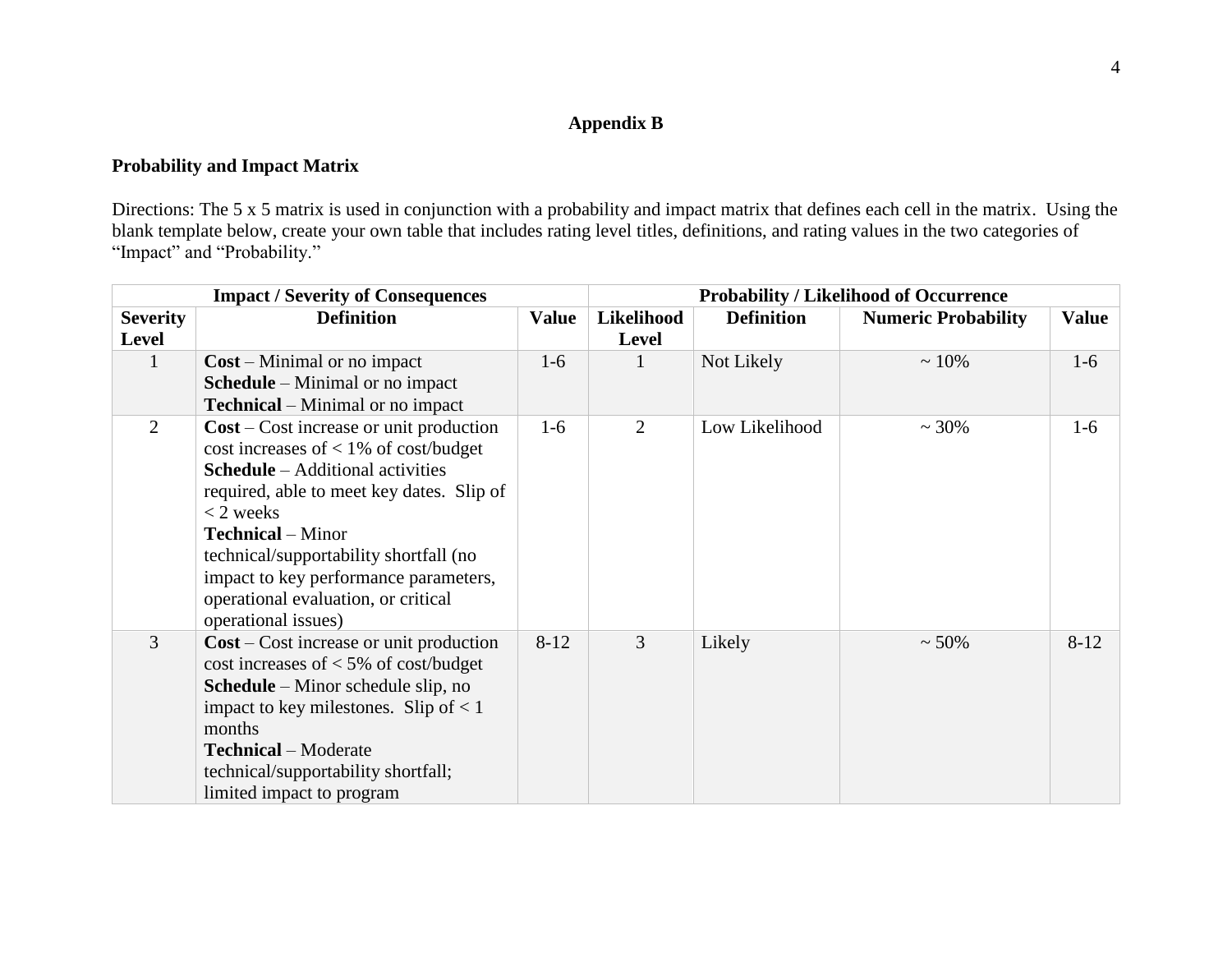#### **Appendix B**

#### **Probability and Impact Matrix**

Directions: The 5 x 5 matrix is used in conjunction with a probability and impact matrix that defines each cell in the matrix. Using the blank template below, create your own table that includes rating level titles, definitions, and rating values in the two categories of "Impact" and "Probability."

|                          | <b>Impact / Severity of Consequences</b>                                                                                                                                                                                                                                                                                                                                         |              | <b>Probability / Likelihood of Occurrence</b> |                   |                            |              |  |  |
|--------------------------|----------------------------------------------------------------------------------------------------------------------------------------------------------------------------------------------------------------------------------------------------------------------------------------------------------------------------------------------------------------------------------|--------------|-----------------------------------------------|-------------------|----------------------------|--------------|--|--|
| <b>Severity</b><br>Level | <b>Definition</b>                                                                                                                                                                                                                                                                                                                                                                | <b>Value</b> | Likelihood<br><b>Level</b>                    | <b>Definition</b> | <b>Numeric Probability</b> | <b>Value</b> |  |  |
| $\mathbf{1}$             | $Cost - Minimal$ or no impact<br><b>Schedule</b> – Minimal or no impact<br><b>Technical</b> – Minimal or no impact                                                                                                                                                                                                                                                               | $1-6$        |                                               | Not Likely        | $~10\%$                    | $1-6$        |  |  |
| 2                        | $\text{Cost}$ – Cost increase or unit production<br>cost increases of $< 1\%$ of cost/budget<br><b>Schedule</b> – Additional activities<br>required, able to meet key dates. Slip of<br>$<$ 2 weeks<br><b>Technical</b> – Minor<br>technical/supportability shortfall (no<br>impact to key performance parameters,<br>operational evaluation, or critical<br>operational issues) | $1-6$        | 2                                             | Low Likelihood    | $~10\%$                    | $1-6$        |  |  |
| 3                        | $Cost$ – Cost increase or unit production<br>cost increases of $<$ 5% of cost/budget<br><b>Schedule</b> – Minor schedule slip, no<br>impact to key milestones. Slip of $< 1$<br>months<br><b>Technical</b> – Moderate<br>technical/supportability shortfall;<br>limited impact to program                                                                                        | $8 - 12$     | $\overline{3}$                                | Likely            | $~1.50\%$                  | $8 - 12$     |  |  |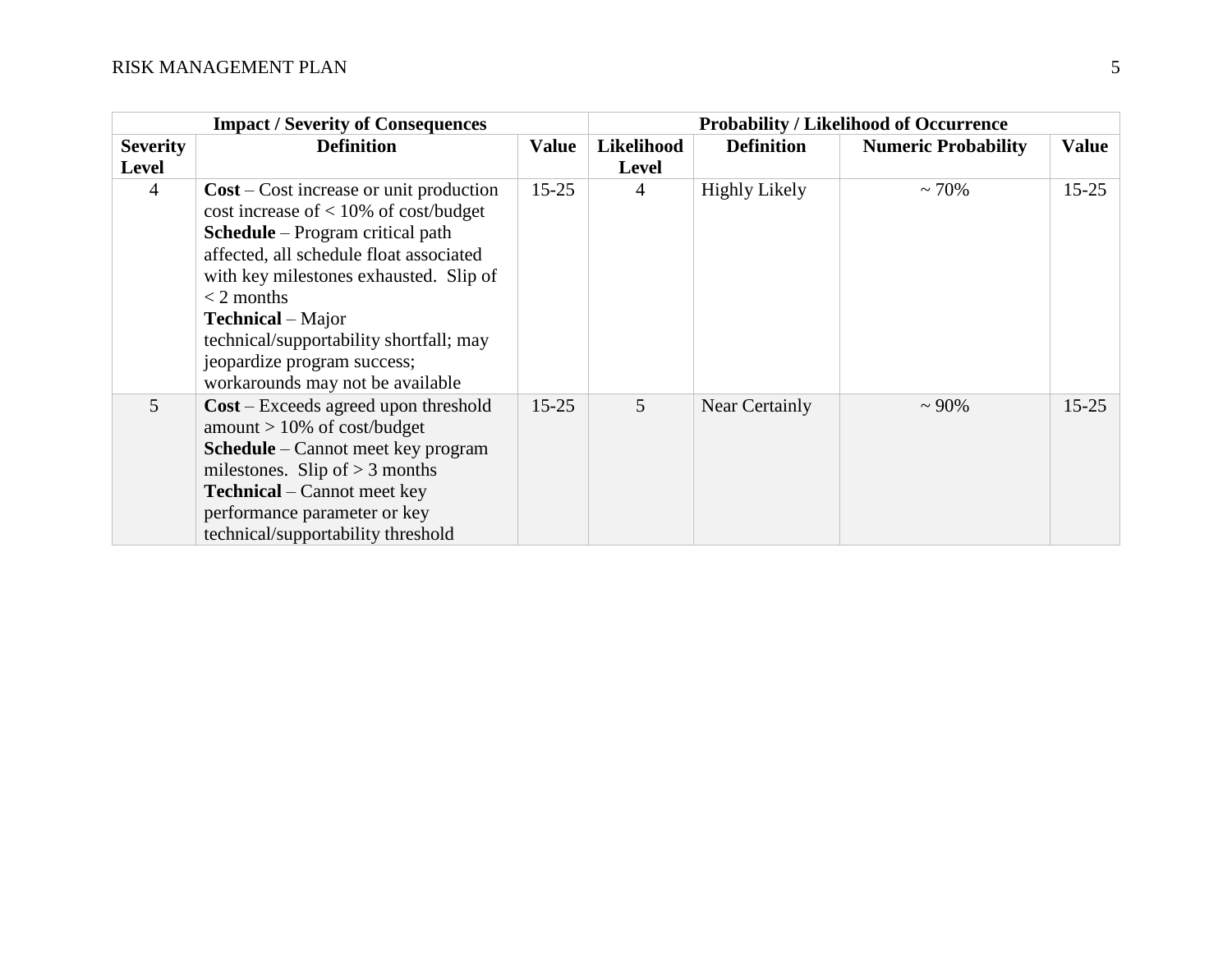|                                 | <b>Impact / Severity of Consequences</b>                                                                                                                                                                                                                                                                                                                                        |              | <b>Probability / Likelihood of Occurrence</b> |                      |                            |              |  |  |
|---------------------------------|---------------------------------------------------------------------------------------------------------------------------------------------------------------------------------------------------------------------------------------------------------------------------------------------------------------------------------------------------------------------------------|--------------|-----------------------------------------------|----------------------|----------------------------|--------------|--|--|
| <b>Severity</b><br><b>Level</b> | <b>Definition</b>                                                                                                                                                                                                                                                                                                                                                               | <b>Value</b> | Likelihood<br><b>Level</b>                    | <b>Definition</b>    | <b>Numeric Probability</b> | <b>Value</b> |  |  |
| $\overline{4}$                  | $Cost$ – Cost increase or unit production<br>cost increase of $< 10\%$ of cost/budget<br><b>Schedule</b> – Program critical path<br>affected, all schedule float associated<br>with key milestones exhausted. Slip of<br>$<$ 2 months<br><b>Technical</b> – Major<br>technical/supportability shortfall; may<br>jeopardize program success;<br>workarounds may not be available | $15 - 25$    | $\overline{4}$                                | <b>Highly Likely</b> | $~10\%$                    | $15 - 25$    |  |  |
| 5 <sup>5</sup>                  | $\text{Cost}$ – Exceeds agreed upon threshold<br>amount $> 10\%$ of cost/budget<br><b>Schedule</b> – Cannot meet key program<br>milestones. Slip of $> 3$ months<br><b>Technical</b> – Cannot meet key<br>performance parameter or key<br>technical/supportability threshold                                                                                                    | $15 - 25$    | 5                                             | Near Certainly       | $~100\%$                   | $15 - 25$    |  |  |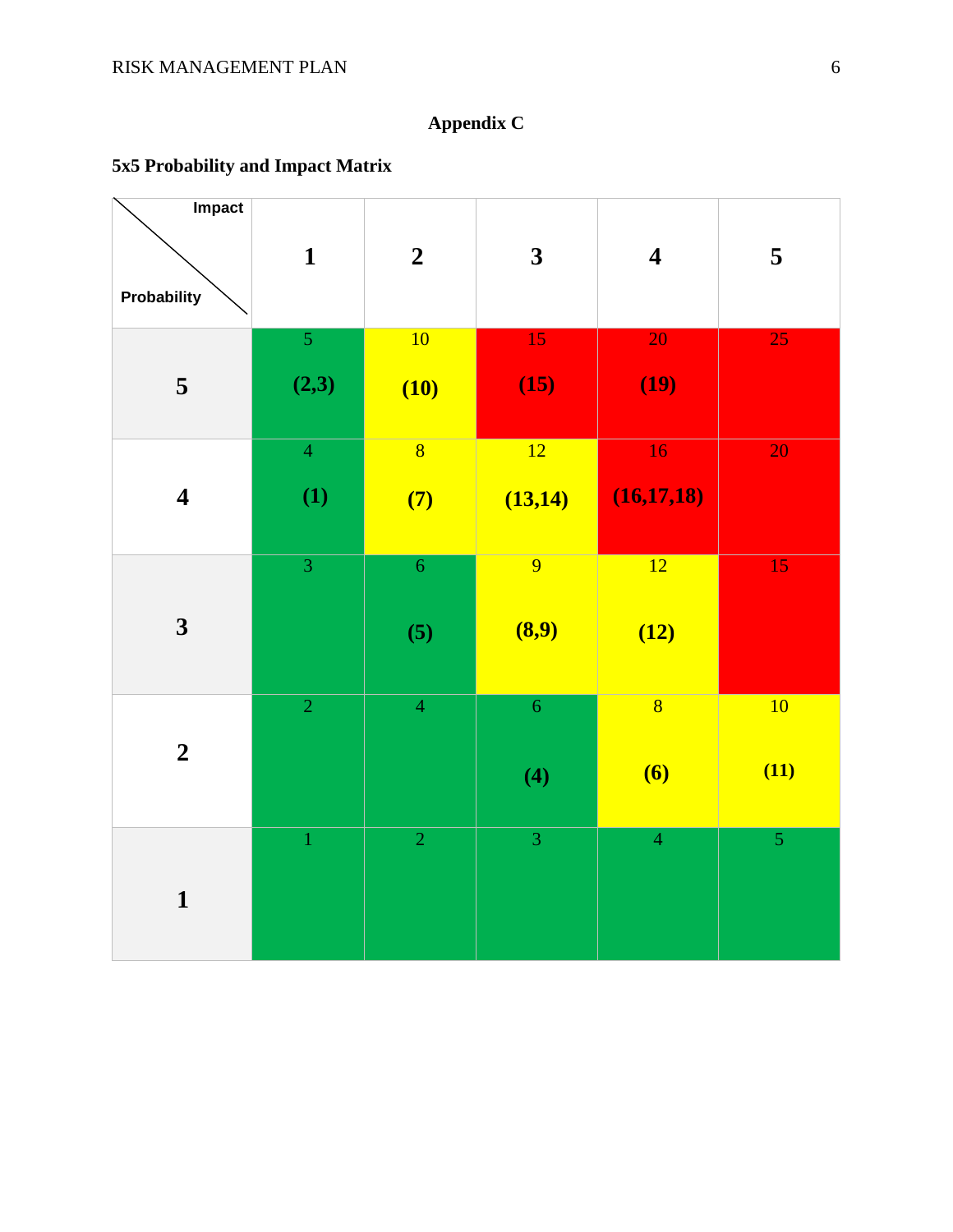# **Appendix C**

# **5x5 Probability and Impact Matrix**

| Impact<br>Probability   | $\mathbf{1}$   | $\boldsymbol{2}$ | $\overline{\mathbf{3}}$ | $\overline{\mathbf{4}}$ | 5               |
|-------------------------|----------------|------------------|-------------------------|-------------------------|-----------------|
|                         | $\overline{5}$ | 10               | $\overline{15}$         | $\overline{20}$         | <b>25</b>       |
| 5                       | (2,3)          | (10)             | (15)                    | (19)                    |                 |
|                         | $\overline{4}$ | $\overline{8}$   | $\overline{12}$         | $\overline{16}$         | $\overline{20}$ |
| $\overline{\mathbf{4}}$ | (1)            | (7)              | (13, 14)                | (16, 17, 18)            |                 |
|                         | $\overline{3}$ | $\overline{6}$   | $\overline{9}$          | 12                      | $\overline{15}$ |
| 3                       |                | (5)              | (8,9)                   | (12)                    |                 |
|                         | $\overline{2}$ | $\overline{4}$   | $\overline{6}$          | $\overline{8}$          | 10              |
| $\boldsymbol{2}$        |                |                  | (4)                     | (6)                     | (11)            |
| $\mathbf{1}$            | $\overline{1}$ | $\overline{2}$   | $\overline{3}$          | $\overline{4}$          | $\overline{5}$  |